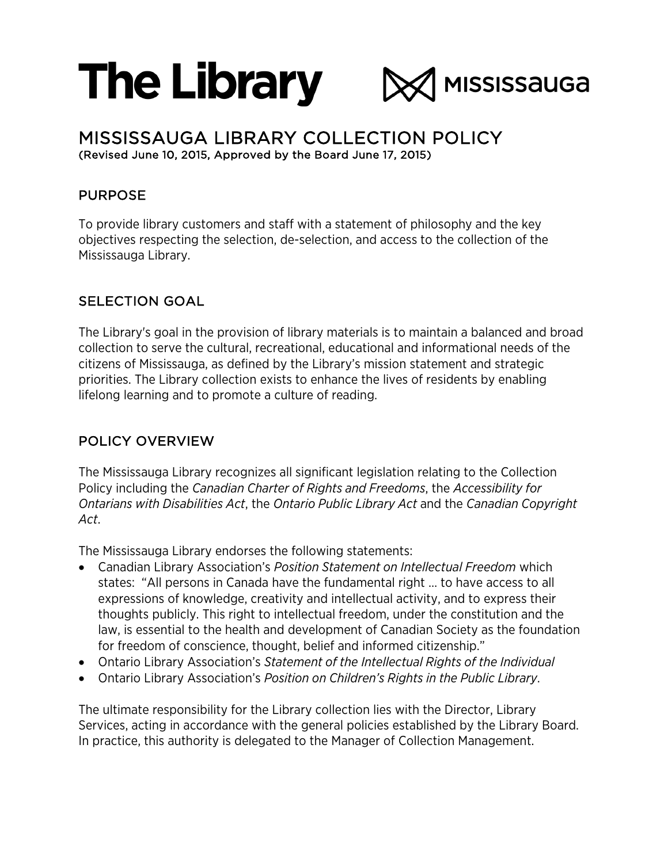# **The Library**



# MISSISSAUGA LIBRARY COLLECTION POLICY (Revised June 10, 2015, Approved by the Board June 17, 2015)

# PURPOSE

To provide library customers and staff with a statement of philosophy and the key objectives respecting the selection, de-selection, and access to the collection of the Mississauga Library.

# SELECTION GOAL

The Library's goal in the provision of library materials is to maintain a balanced and broad collection to serve the cultural, recreational, educational and informational needs of the citizens of Mississauga, as defined by the Library's mission statement and strategic priorities. The Library collection exists to enhance the lives of residents by enabling lifelong learning and to promote a culture of reading.

# POLICY OVERVIEW

The Mississauga Library recognizes all significant legislation relating to the Collection Policy including the *Canadian Charter of Rights and Freedoms*, the *Accessibility for Ontarians with Disabilities Act*, the *Ontario Public Library Act* and the *Canadian Copyright Act*.

The Mississauga Library endorses the following statements:

- Canadian Library Association's *Position Statement on Intellectual Freedom* which states: "All persons in Canada have the fundamental right … to have access to all expressions of knowledge, creativity and intellectual activity, and to express their thoughts publicly. This right to intellectual freedom, under the constitution and the law, is essential to the health and development of Canadian Society as the foundation for freedom of conscience, thought, belief and informed citizenship."
- Ontario Library Association's *Statement of the Intellectual Rights of the Individual*
- Ontario Library Association's *Position on Children's Rights in the Public Library*.

The ultimate responsibility for the Library collection lies with the Director, Library Services, acting in accordance with the general policies established by the Library Board. In practice, this authority is delegated to the Manager of Collection Management.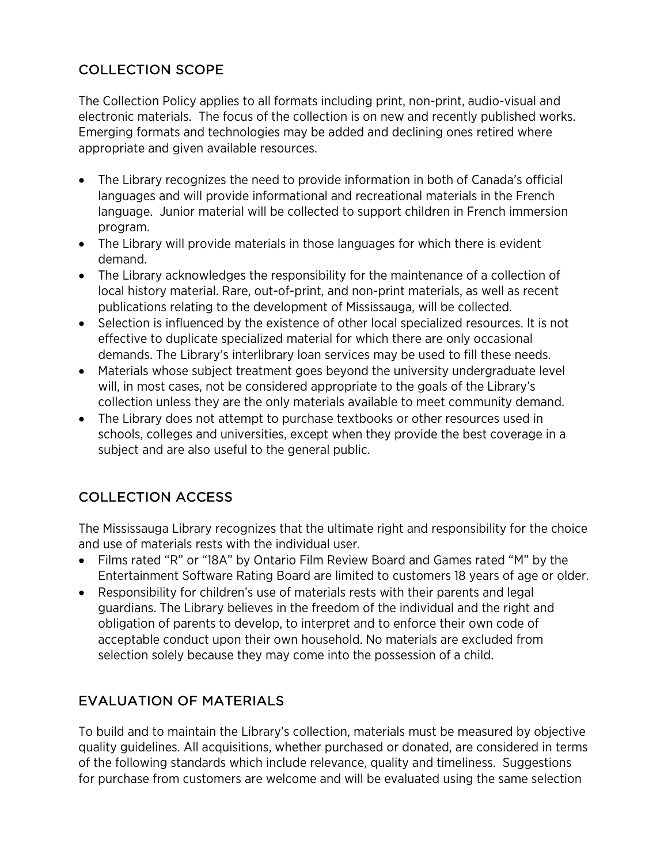# COLLECTION SCOPE

The Collection Policy applies to all formats including print, non-print, audio-visual and electronic materials. The focus of the collection is on new and recently published works. Emerging formats and technologies may be added and declining ones retired where appropriate and given available resources.

- The Library recognizes the need to provide information in both of Canada's official languages and will provide informational and recreational materials in the French language. Junior material will be collected to support children in French immersion program.
- The Library will provide materials in those languages for which there is evident demand.
- The Library acknowledges the responsibility for the maintenance of a collection of local history material. Rare, out-of-print, and non-print materials, as well as recent publications relating to the development of Mississauga, will be collected.
- Selection is influenced by the existence of other local specialized resources. It is not effective to duplicate specialized material for which there are only occasional demands. The Library's interlibrary loan services may be used to fill these needs.
- Materials whose subject treatment goes beyond the university undergraduate level will, in most cases, not be considered appropriate to the goals of the Library's collection unless they are the only materials available to meet community demand.
- The Library does not attempt to purchase textbooks or other resources used in schools, colleges and universities, except when they provide the best coverage in a subject and are also useful to the general public.

# COLLECTION ACCESS

The Mississauga Library recognizes that the ultimate right and responsibility for the choice and use of materials rests with the individual user.

- Films rated "R" or "18A" by Ontario Film Review Board and Games rated "M" by the Entertainment Software Rating Board are limited to customers 18 years of age or older.
- Responsibility for children's use of materials rests with their parents and legal guardians. The Library believes in the freedom of the individual and the right and obligation of parents to develop, to interpret and to enforce their own code of acceptable conduct upon their own household. No materials are excluded from selection solely because they may come into the possession of a child.

# EVALUATION OF MATERIALS

To build and to maintain the Library's collection, materials must be measured by objective quality guidelines. All acquisitions, whether purchased or donated, are considered in terms of the following standards which include relevance, quality and timeliness. Suggestions for purchase from customers are welcome and will be evaluated using the same selection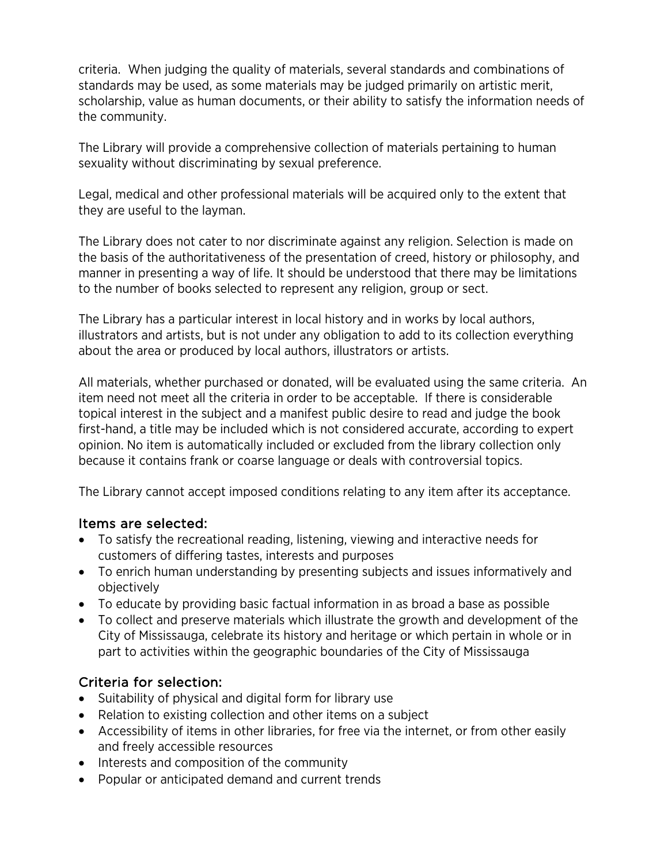criteria. When judging the quality of materials, several standards and combinations of standards may be used, as some materials may be judged primarily on artistic merit, scholarship, value as human documents, or their ability to satisfy the information needs of the community.

The Library will provide a comprehensive collection of materials pertaining to human sexuality without discriminating by sexual preference.

Legal, medical and other professional materials will be acquired only to the extent that they are useful to the layman.

The Library does not cater to nor discriminate against any religion. Selection is made on the basis of the authoritativeness of the presentation of creed, history or philosophy, and manner in presenting a way of life. It should be understood that there may be limitations to the number of books selected to represent any religion, group or sect.

The Library has a particular interest in local history and in works by local authors, illustrators and artists, but is not under any obligation to add to its collection everything about the area or produced by local authors, illustrators or artists.

All materials, whether purchased or donated, will be evaluated using the same criteria. An item need not meet all the criteria in order to be acceptable. If there is considerable topical interest in the subject and a manifest public desire to read and judge the book first-hand, a title may be included which is not considered accurate, according to expert opinion. No item is automatically included or excluded from the library collection only because it contains frank or coarse language or deals with controversial topics.

The Library cannot accept imposed conditions relating to any item after its acceptance.

#### Items are selected:

- To satisfy the recreational reading, listening, viewing and interactive needs for customers of differing tastes, interests and purposes
- To enrich human understanding by presenting subjects and issues informatively and objectively
- To educate by providing basic factual information in as broad a base as possible
- To collect and preserve materials which illustrate the growth and development of the City of Mississauga, celebrate its history and heritage or which pertain in whole or in part to activities within the geographic boundaries of the City of Mississauga

#### Criteria for selection:

- Suitability of physical and digital form for library use
- Relation to existing collection and other items on a subject
- Accessibility of items in other libraries, for free via the internet, or from other easily and freely accessible resources
- Interests and composition of the community
- Popular or anticipated demand and current trends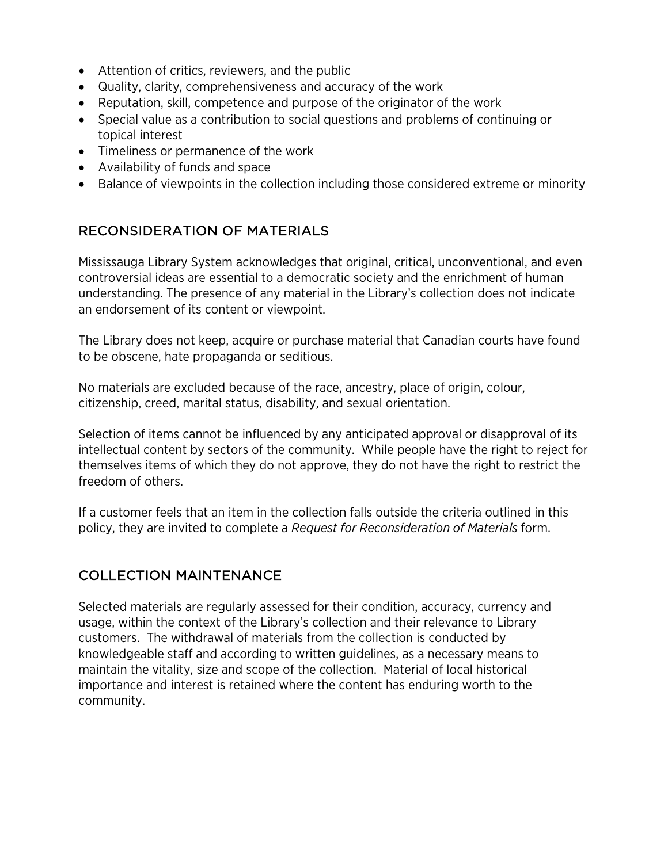- Attention of critics, reviewers, and the public
- Quality, clarity, comprehensiveness and accuracy of the work
- Reputation, skill, competence and purpose of the originator of the work
- Special value as a contribution to social questions and problems of continuing or topical interest
- Timeliness or permanence of the work
- Availability of funds and space
- Balance of viewpoints in the collection including those considered extreme or minority

# RECONSIDERATION OF MATERIALS

Mississauga Library System acknowledges that original, critical, unconventional, and even controversial ideas are essential to a democratic society and the enrichment of human understanding. The presence of any material in the Library's collection does not indicate an endorsement of its content or viewpoint.

The Library does not keep, acquire or purchase material that Canadian courts have found to be obscene, hate propaganda or seditious.

No materials are excluded because of the race, ancestry, place of origin, colour, citizenship, creed, marital status, disability, and sexual orientation.

Selection of items cannot be influenced by any anticipated approval or disapproval of its intellectual content by sectors of the community. While people have the right to reject for themselves items of which they do not approve, they do not have the right to restrict the freedom of others.

If a customer feels that an item in the collection falls outside the criteria outlined in this policy, they are invited to complete a *Request for Reconsideration of Materials* form.

# COLLECTION MAINTENANCE

Selected materials are regularly assessed for their condition, accuracy, currency and usage, within the context of the Library's collection and their relevance to Library customers. The withdrawal of materials from the collection is conducted by knowledgeable staff and according to written guidelines, as a necessary means to maintain the vitality, size and scope of the collection. Material of local historical importance and interest is retained where the content has enduring worth to the community.